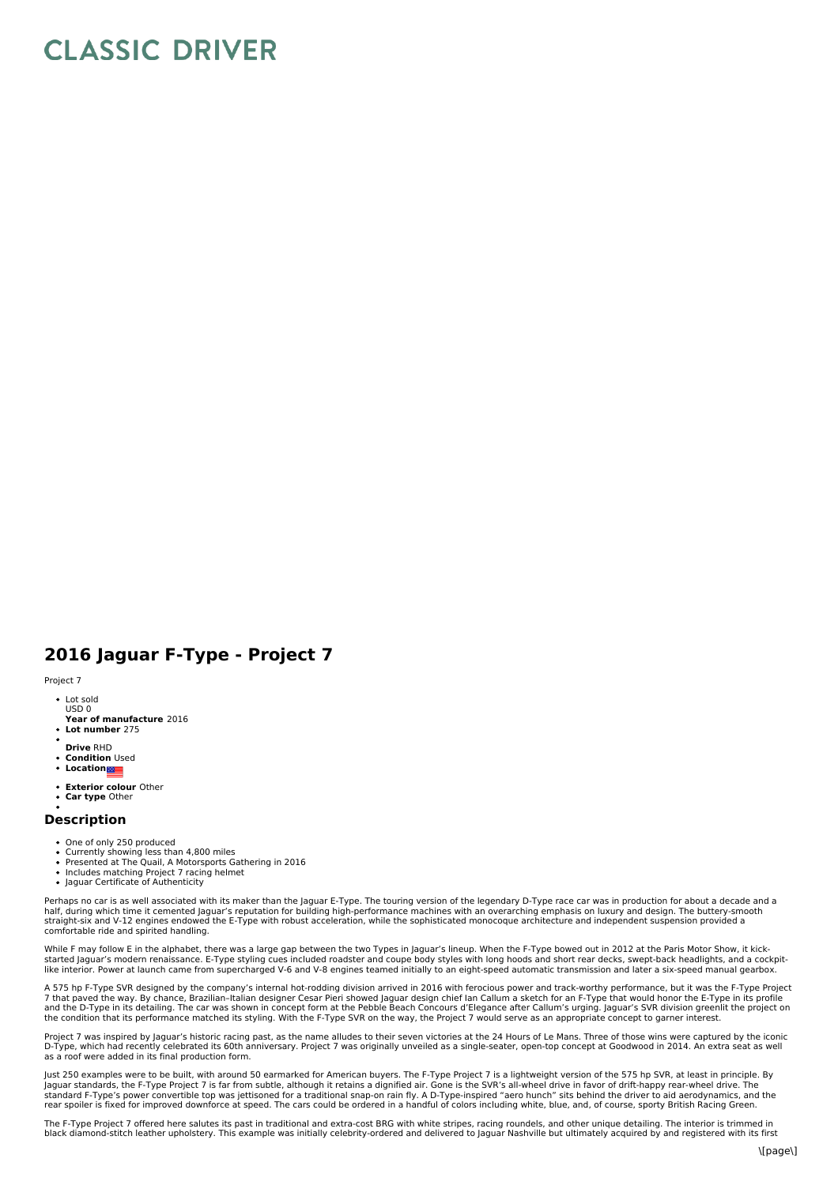## **CLASSIC DRIVER**

## **2016 Jaguar F-Type - Project 7**

## Project 7

- Lot sold USD 0
- **Year of manufacture** 2016
- **Lot number** 275
- **Drive** RHD
- **Condition** Used
- Location**ne**
- **Exterior colour** Other
- **Car type** Other

## **Description**

- One of only 250 produced
- Currently showing less than 4,800 miles<br>Presented at The Quail, A Motorsports Gathering in 2016
- 
- Includes matching Project 7 racing helmet Jaguar Certificate of Authenticity

Perhaps no car is as well associated with its maker than the Jaguar E-Type. The touring version of the legendary D-Type race car was in production for about a decade and a half, during which time it cemented Jaguar's reputation for building high-performance machines with an overarching emphasis on luxury and design. The buttery-smooth<br>straight-six and V-12 engines endowed the E-Type with rob comfortable ride and spirited handling.

While F may follow E in the alphabet, there was a large gap between the two Types in Jaguar's lineup. When the F-Type bowed out in 2012 at the Paris Motor Show, it kick-<br>started Jaguar's modern renaissance. E-Type styling like interior. Power at launch came from supercharged V-6 and V-8 engines teamed initially to an eight-speed automatic transmission and later a six-speed manual gearbox.

A 575 hp F-Type SVR designed by the company's internal hot-rodding division arrived in 2016 with ferocious power and track-worthy performance, but it was the F-Type Project 7 that paved the way. By chance, Brazilian-Italian designer Cesar Pieri showed Jaguar design chief lan Callum a sketch for an F-Type that would honor the E-Type in its profile<br>and the D-Type in its detailing. The car was s the condition that its performance matched its styling. With the F-Type SVR on the way, the Project 7 would serve as an appropriate concept to garner interest.

Project 7 was inspired by Jaguar's historic racing past, as the name alludes to their seven victories at the 24 Hours of Le Mans. Three of those wins were captured by the iconic D-Type, which had recently celebrated its 60th anniversary. Project 7 was originally unveiled as a single-seater, open-top concept at Goodwood in 2014. An extra seat as well<br>as a roof were added in its final production for

Just 250 examples were to be built, with around 50 earmarked for American buyers. The F-Type Project 7 is a lightweight version of the 575 hp SVR, at least in principle. By<br>Jaguar standards, the F-Type Project 7 is far fro

The F-Type Project 7 offered here salutes its past in traditional and extra-cost BRG with white stripes, racing roundels, and other unique detailing. The interior is trimmed in<br>black diamond-stitch leather upholstery. This